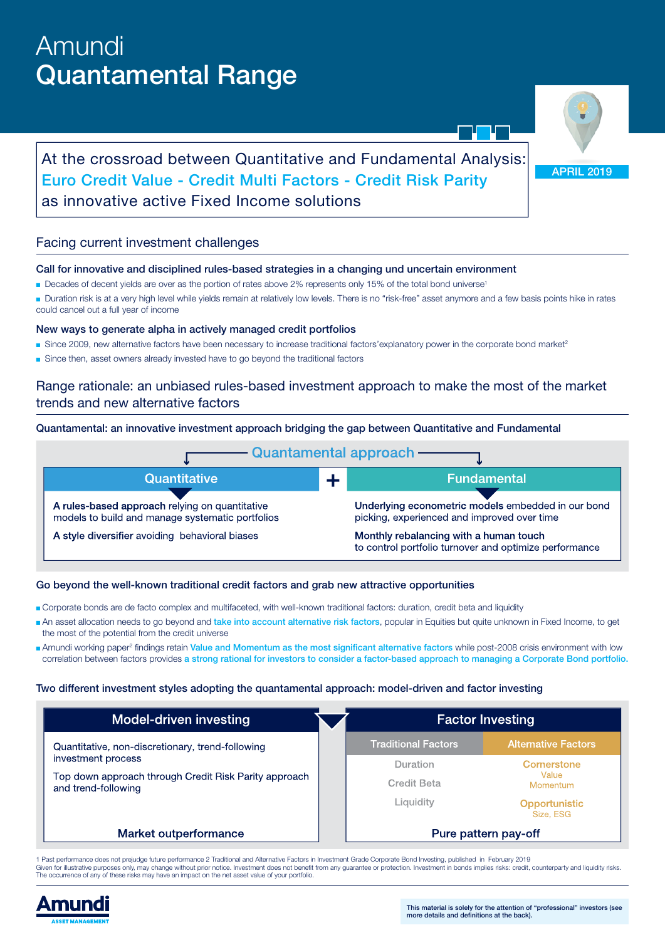# Amundi Quantamental Range

APRIL 2019

# At the crossroad between Quantitative and Fundamental Analysis: Euro Credit Value - Credit Multi Factors - Credit Risk Parity as innovative active Fixed Income solutions

# Facing current investment challenges

#### Call for innovative and disciplined rules-based strategies in a changing und uncertain environment

- Decades of decent yields are over as the portion of rates above 2% represents only 15% of the total bond universe<sup>1</sup>
- Duration risk is at a very high level while yields remain at relatively low levels. There is no "risk-free" asset anymore and a few basis points hike in rates could cancel out a full year of income

#### New ways to generate alpha in actively managed credit portfolios

- Since 2009, new alternative factors have been necessary to increase traditional factors'explanatory power in the corporate bond market<sup>2</sup>
- Since then, asset owners already invested have to go beyond the traditional factors

# Range rationale: an unbiased rules-based investment approach to make the most of the market trends and new alternative factors

Quantamental: an innovative investment approach bridging the gap between Quantitative and Fundamental



#### Go beyond the well-known traditional credit factors and grab new attractive opportunities

- Corporate bonds are de facto complex and multifaceted, with well-known traditional factors: duration, credit beta and liquidity
- An asset allocation needs to go beyond and take into account alternative risk factors, popular in Equities but quite unknown in Fixed Income, to get the most of the potential from the credit universe
- **Amundi working paper<sup>2</sup> findings retain Value and Momentum as the most significant alternative factors while post-2008 crisis environment with low** correlation between factors provides a strong rational for investors to consider a factor-based approach to managing a Corporate Bond portfolio.

#### Two different investment styles adopting the quantamental approach: model-driven and factor investing

| <b>Model-driven investing</b>                                                | <b>Factor Investing</b>    |                                   |
|------------------------------------------------------------------------------|----------------------------|-----------------------------------|
| Quantitative, non-discretionary, trend-following                             | <b>Traditional Factors</b> | Alternative Factors               |
| investment process                                                           | Duration                   | Cornerstone                       |
| Top down approach through Credit Risk Parity approach<br>and trend-following | Credit Beta                | Value<br>Momentum                 |
|                                                                              | Liquidity                  | <b>Opportunistic</b><br>Size, ESG |
| Market outperformance                                                        | Pure pattern pay-off       |                                   |

1 Past performance does not prejudge future performance 2 Traditional and Alternative Factors in Investment Grade Corporate Bond Investing, published in February 2019<br>Given for illustrative purposes only, may change withou The occurrence of any of these risks may have an impact on the net asset value of your portfolio.